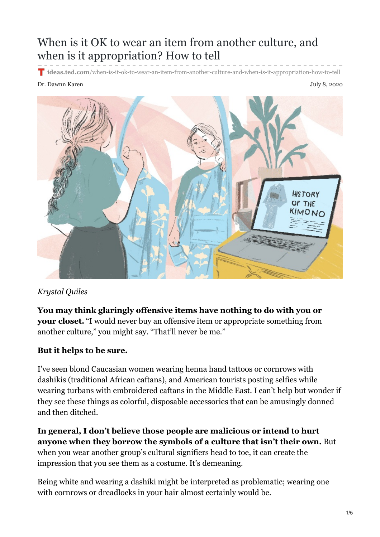# When is it OK to wear an item from another culture, and when is it appropriation? How to tell

**ideas.ted.com**[/when-is-it-ok-to-wear-an-item-from-another-culture-and-when-is-it-appropriation-how-to-tell](https://ideas.ted.com/when-is-it-ok-to-wear-an-item-from-another-culture-and-when-is-it-appropriation-how-to-tell/?utm_campaign=social&utm_source=facebook.com&utm_medium=referral&utm_content=2020-7-09&fbclid=IwAR2nej-TimbSq26QdT4slMsEASdZZ3I9LOwrir4sxGWughp9wgMf8xoO2P8)

#### Dr. Dawnn Karen July 8, 2020



### *Krystal Quiles*

**You may think glaringly offensive items have nothing to do with you or your closet.** "I would never buy an offensive item or appropriate something from another culture," you might say. "That'll never be me."

### **But it helps to be sure.**

I've seen blond Caucasian women wearing henna hand tattoos or cornrows with dashikis (traditional African caftans), and American tourists posting selfies while wearing turbans with embroidered caftans in the Middle East. I can't help but wonder if they see these things as colorful, disposable accessories that can be amusingly donned and then ditched.

**In general, I don't believe those people are malicious or intend to hurt anyone when they borrow the symbols of a culture that isn't their own.** But when you wear another group's cultural signifiers head to toe, it can create the impression that you see them as a costume. It's demeaning.

Being white and wearing a dashiki might be interpreted as problematic; wearing one with cornrows or dreadlocks in your hair almost certainly would be.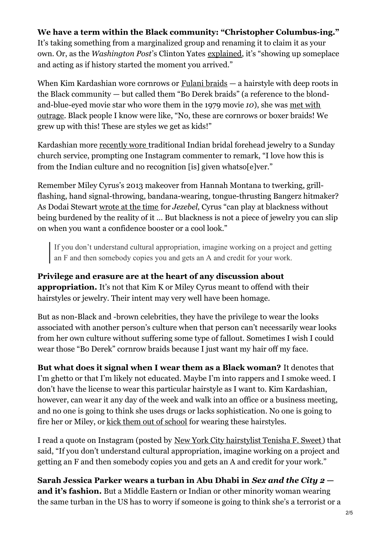### **We have a term within the Black community: "Christopher Columbus-ing."**

It's taking something from a marginalized group and renaming it to claim it as your own. Or, as the *Washington Post*'s Clinton Yates [explained](https://www.washingtonpost.com/blogs/therootdc/post/nouveau-columbusing-black-washington/2012/10/08/62b43084-10db-11e2-a16b-2c110031514a_blog.html), it's "showing up someplace and acting as if history started the moment you arrived."

When Kim Kardashian wore cornrows or [Fulani](https://www.buzzfeed.com/essencegant/these-are-fulani-braids-and-bo-derek-kim-kardashian-didnt-st) braids — a hairstyle with deep roots in the Black community — but called them "Bo Derek braids" (a reference to the blond[and-blue-eyed](https://www.allure.com/story/kim-kardashian-called-cornrows-bo-derek-braids-lol-come-on-girl) movie star who wore them in the 1979 movie *10*), she was met with outrage. Black people I know were like, "No, these are cornrows or boxer braids! We grew up with this! These are styles we get as kids!"

Kardashian more [recently](https://pagesix.com/2019/04/05/kim-kardashians-sunday-service-look-called-out-for-cultural-appropriation/) wore traditional Indian bridal forehead jewelry to a Sunday church service, prompting one Instagram commenter to remark, "I love how this is from the Indian culture and no recognition [is] given whatso[e]ver."

Remember Miley Cyrus's 2013 makeover from Hannah Montana to twerking, grillflashing, hand signal-throwing, bandana-wearing, tongue-thrusting Bangerz hitmaker? As Dodai Stewart [wrote](https://jezebel.com/on-miley-cyrus-ratchet-culture-and-accessorizing-with-514381016) at the time for *Jezebel*, Cyrus "can play at blackness without being burdened by the reality of it … But blackness is not a piece of jewelry you can slip on when you want a confidence booster or a cool look."

If you don't understand cultural appropriation, imagine working on a project and getting an F and then somebody copies you and gets an A and credit for your work.

### **Privilege and erasure are at the heart of any discussion about**

**appropriation.** It's not that Kim K or Miley Cyrus meant to offend with their hairstyles or jewelry. Their intent may very well have been homage.

But as non-Black and -brown celebrities, they have the privilege to wear the looks associated with another person's culture when that person can't necessarily wear looks from her own culture without suffering some type of fallout. Sometimes I wish I could wear those "Bo Derek" cornrow braids because I just want my hair off my face.

**But what does it signal when I wear them as a Black woman?** It denotes that I'm ghetto or that I'm likely not educated. Maybe I'm into rappers and I smoke weed. I don't have the license to wear this particular hairstyle as I want to. Kim Kardashian, however, can wear it any day of the week and walk into an office or a business meeting, and no one is going to think she uses drugs or lacks sophistication. No one is going to fire her or Miley, or kick them out of [school](https://www.nytimes.com/2018/08/21/us/black-student-extensions-louisiana.html) for wearing these hairstyles.

I read a quote on Instagram (posted by New York City [hairstylist](https://www.instagram.com/tenishasweetbeauty/?hl=en) Tenisha F. Sweet) that said, "If you don't understand cultural appropriation, imagine working on a project and getting an F and then somebody copies you and gets an A and credit for your work."

**Sarah Jessica Parker wears a turban in Abu Dhabi in** *Sex and the City 2*  **and it's fashion.** But a Middle Eastern or Indian or other minority woman wearing the same turban in the US has to worry if someone is going to think she's a terrorist or a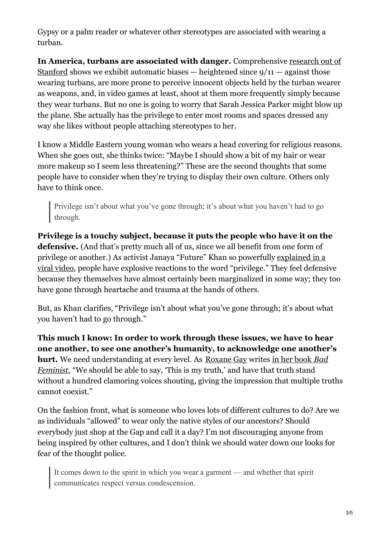Gypsy or a palm reader or whatever other stereotypes are associated with wearing a turban.

**In America, turbans are associated with danger.** [Comprehensive](https://issuu.com/saldefmedia/docs/turbanmyths_121113) research out of Stanford shows we exhibit automatic biases  $-$  heightened since  $9/11 -$  against those wearing turbans, are more prone to perceive innocent objects held by the turban wearer as weapons, and, in video games at least, shoot at them more frequently simply because they wear turbans. But no one is going to worry that Sarah Jessica Parker might blow up the plane. She actually has the privilege to enter most rooms and spaces dressed any way she likes without people attaching stereotypes to her.

I know a Middle Eastern young woman who wears a head covering for religious reasons. When she goes out, she thinks twice: "Maybe I should show a bit of my hair or wear more makeup so I seem less threatening?" These are the second thoughts that some people have to consider when they're trying to display their own culture. Others only have to think once.

Privilege isn't about what you've gone through; it's about what you haven't had to go through.

**Privilege is a touchy subject, because it puts the people who have it on the defensive.** (And that's pretty much all of us, since we all benefit from one form of privilege or another.) As activist Janaya "Future" Khan so powerfully explained in a viral video, people have explosive reactions to the word ["privilege."](https://nowthisnews.com/videos/politics/activist-janaya-future-khan-on-redefining-privilege) They feel defensive because they themselves have almost certainly been marginalized in some way; they too have gone through heartache and trauma at the hands of others.

But, as Khan clarifies, "Privilege isn't about what you've gone through; it's about what you haven't had to go through."

**This much I know: In order to work through these issues, we have to hear one another, to see one another's humanity, to acknowledge one another's hurt.** We need [understanding](https://geni.us/t18MsS) at every level. As [Roxane](https://www.ted.com/talks/roxane_gay_confessions_of_a_bad_feminist?language=en) Gay writes in her book *Bad Feminist*, "We should be able to say, 'This is my truth,' and have that truth stand without a hundred clamoring voices shouting, giving the impression that multiple truths cannot coexist."

On the fashion front, what is someone who loves lots of different cultures to do? Are we as individuals "allowed" to wear only the native styles of our ancestors? Should everybody just shop at the Gap and call it a day? I'm not discouraging anyone from being inspired by other cultures, and I don't think we should water down our looks for fear of the thought police.

It comes down to the spirit in which you wear a garment — and whether that spirit communicates respect versus condescension.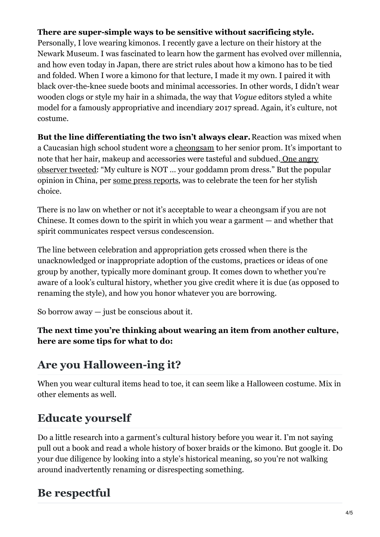### **There are super-simple ways to be sensitive without sacrificing style.**

Personally, I love wearing kimonos. I recently gave a lecture on their history at the Newark Museum. I was fascinated to learn how the garment has evolved over millennia, and how even today in Japan, there are strict rules about how a kimono has to be tied and folded. When I wore a kimono for that lecture, I made it my own. I paired it with black over-the-knee suede boots and minimal accessories. In other words, I didn't wear wooden clogs or style my hair in a shimada, the way that *Vogue* editors styled a white model for a famously appropriative and incendiary 2017 spread. Again, it's culture, not costume.

**But the line differentiating the two isn't always clear.**Reaction was mixed when a Caucasian high school student wore a [cheongsam](https://blogs.brown.edu/amst-1905l-s01-spring-2017/cheongsam-then-and-now/) to her senior prom. It's important to note that her hair, makeup and [accessories](https://www.newsweek.com/students-traditional-chinese-dress-prom-sparks-debate-over-cultural-906297) were tasteful and subdued. One angry observer tweeted: "My culture is NOT … your goddamn prom dress." But the popular opinion in China, per some press [reports](https://www.usatoday.com/story/news/nation-now/2018/05/04/chinese-ok-utah-teens-controversial-cheongsam-prom-dress/580062002/), was to celebrate the teen for her stylish choice.

There is no law on whether or not it's acceptable to wear a cheongsam if you are not Chinese. It comes down to the spirit in which you wear a garment — and whether that spirit communicates respect versus condescension.

The line between celebration and appropriation gets crossed when there is the unacknowledged or inappropriate adoption of the customs, practices or ideas of one group by another, typically more dominant group. It comes down to whether you're aware of a look's cultural history, whether you give credit where it is due (as opposed to renaming the style), and how you honor whatever you are borrowing.

So borrow away  $-$  just be conscious about it.

**The next time you're thinking about wearing an item from another culture, here are some tips for what to do:**

# **Are you Halloween-ing it?**

When you wear cultural items head to toe, it can seem like a Halloween costume. Mix in other elements as well.

# **Educate yourself**

Do a little research into a garment's cultural history before you wear it. I'm not saying pull out a book and read a whole history of boxer braids or the kimono. But google it. Do your due diligence by looking into a style's historical meaning, so you're not walking around inadvertently renaming or disrespecting something.

# **Be respectful**